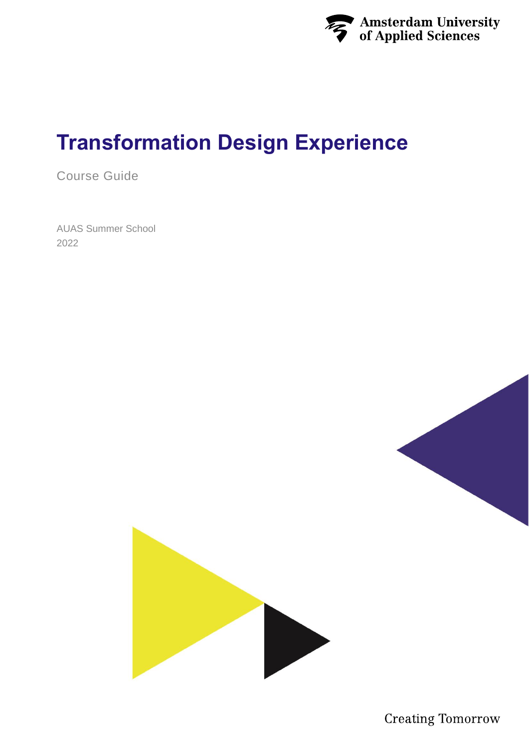

# **Transformation Design Experience**

Course Guide

AUAS Summer School 2022



**Creating Tomorrow**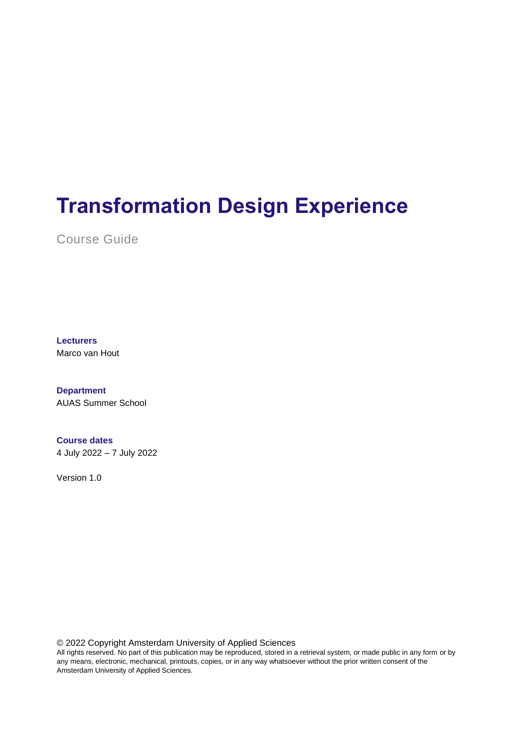# **Transformation Design Experience**

Course Guide

**Lecturers** Marco van Hout

**Department** AUAS Summer School

**Course dates** 4 July 2022 – 7 July 2022

Version 1.0

© 2022 Copyright Amsterdam University of Applied Sciences

All rights reserved. No part of this publication may be reproduced, stored in a retrieval system, or made public in any form or by any means, electronic, mechanical, printouts, copies, or in any way whatsoever without the prior written consent of the Amsterdam University of Applied Sciences.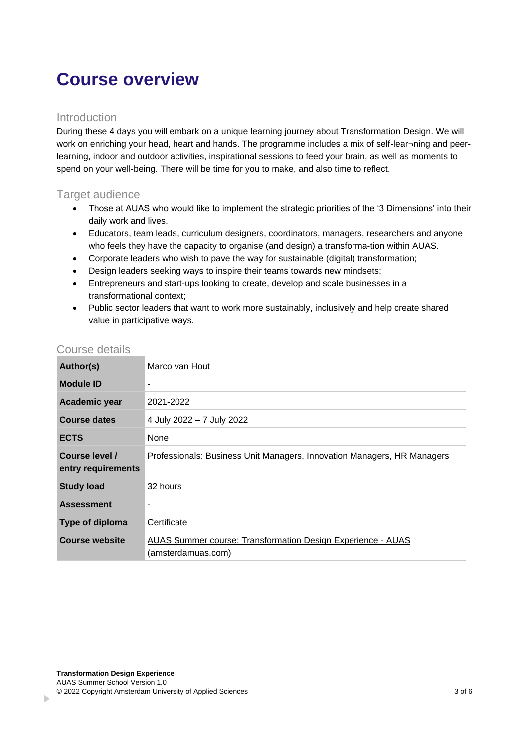## **Course overview**

### Introduction

During these 4 days you will embark on a unique learning journey about Transformation Design. We will work on enriching your head, heart and hands. The programme includes a mix of self-lear¬ning and peerlearning, indoor and outdoor activities, inspirational sessions to feed your brain, as well as moments to spend on your well-being. There will be time for you to make, and also time to reflect.

### Target audience

- Those at AUAS who would like to implement the strategic priorities of the '3 Dimensions' into their daily work and lives.
- Educators, team leads, curriculum designers, coordinators, managers, researchers and anyone who feels they have the capacity to organise (and design) a transforma-tion within AUAS.
- Corporate leaders who wish to pave the way for sustainable (digital) transformation;
- Design leaders seeking ways to inspire their teams towards new mindsets;
- Entrepreneurs and start-ups looking to create, develop and scale businesses in a transformational context;
- Public sector leaders that want to work more sustainably, inclusively and help create shared value in participative ways.

| Author(s)                            | Marco van Hout                                                                    |
|--------------------------------------|-----------------------------------------------------------------------------------|
| <b>Module ID</b>                     | ۰                                                                                 |
| Academic year                        | 2021-2022                                                                         |
| <b>Course dates</b>                  | 4 July 2022 - 7 July 2022                                                         |
| <b>ECTS</b>                          | None                                                                              |
| Course level /<br>entry requirements | Professionals: Business Unit Managers, Innovation Managers, HR Managers           |
| <b>Study load</b>                    | 32 hours                                                                          |
| <b>Assessment</b>                    |                                                                                   |
| Type of diploma                      | Certificate                                                                       |
| <b>Course website</b>                | AUAS Summer course: Transformation Design Experience - AUAS<br>(amsterdamuas.com) |

#### Course details

b.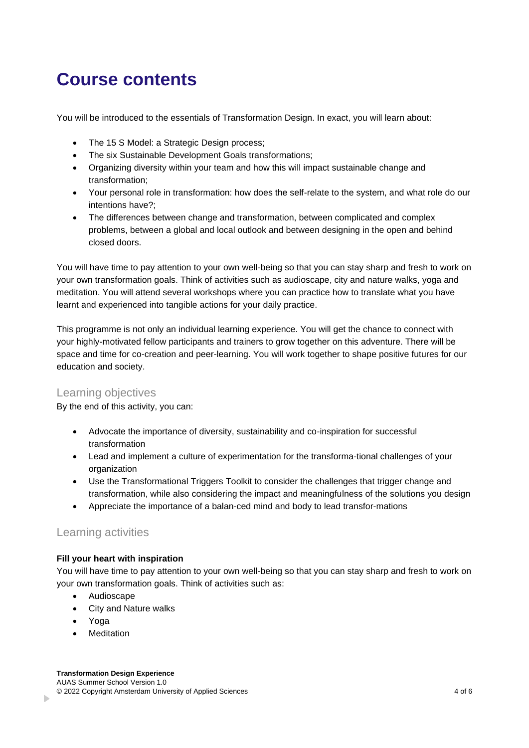## **Course contents**

You will be introduced to the essentials of Transformation Design. In exact, you will learn about:

- The 15 S Model: a Strategic Design process;
- The six Sustainable Development Goals transformations;
- Organizing diversity within your team and how this will impact sustainable change and transformation;
- Your personal role in transformation: how does the self-relate to the system, and what role do our intentions have?;
- The differences between change and transformation, between complicated and complex problems, between a global and local outlook and between designing in the open and behind closed doors.

You will have time to pay attention to your own well-being so that you can stay sharp and fresh to work on your own transformation goals. Think of activities such as audioscape, city and nature walks, yoga and meditation. You will attend several workshops where you can practice how to translate what you have learnt and experienced into tangible actions for your daily practice.

This programme is not only an individual learning experience. You will get the chance to connect with your highly-motivated fellow participants and trainers to grow together on this adventure. There will be space and time for co-creation and peer-learning. You will work together to shape positive futures for our education and society.

### Learning objectives

By the end of this activity, you can:

- Advocate the importance of diversity, sustainability and co-inspiration for successful transformation
- Lead and implement a culture of experimentation for the transforma-tional challenges of your organization
- Use the Transformational Triggers Toolkit to consider the challenges that trigger change and transformation, while also considering the impact and meaningfulness of the solutions you design
- Appreciate the importance of a balan-ced mind and body to lead transfor-mations

### Learning activities

#### **Fill your heart with inspiration**

You will have time to pay attention to your own well-being so that you can stay sharp and fresh to work on your own transformation goals. Think of activities such as:

- Audioscape
- City and Nature walks
- Yoga

b.

**Meditation**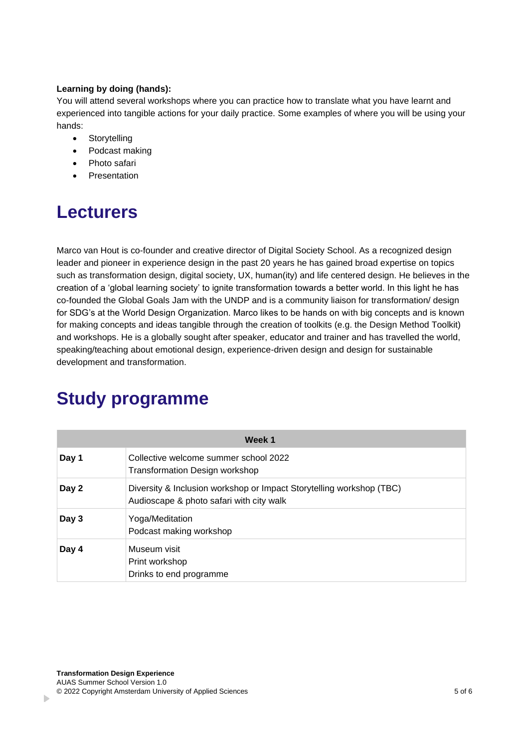#### **Learning by doing (hands):**

You will attend several workshops where you can practice how to translate what you have learnt and experienced into tangible actions for your daily practice. Some examples of where you will be using your hands:

- Storytelling
- Podcast making
- Photo safari
- **Presentation**

## **Lecturers**

Marco van Hout is co-founder and creative director of Digital Society School. As a recognized design leader and pioneer in experience design in the past 20 years he has gained broad expertise on topics such as transformation design, digital society, UX, human(ity) and life centered design. He believes in the creation of a 'global learning society' to ignite transformation towards a better world. In this light he has co-founded the Global Goals Jam with the UNDP and is a community liaison for transformation/ design for SDG's at the World Design Organization. Marco likes to be hands on with big concepts and is known for making concepts and ideas tangible through the creation of toolkits (e.g. the Design Method Toolkit) and workshops. He is a globally sought after speaker, educator and trainer and has travelled the world, speaking/teaching about emotional design, experience-driven design and design for sustainable development and transformation.

| Week 1 |                                                                                                                  |
|--------|------------------------------------------------------------------------------------------------------------------|
| Day 1  | Collective welcome summer school 2022<br>Transformation Design workshop                                          |
| Day 2  | Diversity & Inclusion workshop or Impact Storytelling workshop (TBC)<br>Audioscape & photo safari with city walk |
| Day 3  | Yoga/Meditation<br>Podcast making workshop                                                                       |
| Day 4  | Museum visit<br>Print workshop<br>Drinks to end programme                                                        |

## **Study programme**

b.